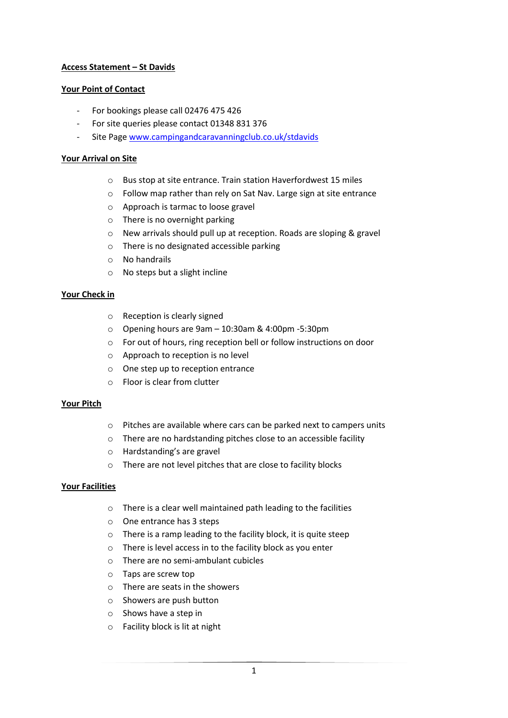## **Access Statement – St Davids**

## **Your Point of Contact**

- For bookings please call 02476 475 426
- For site queries please contact 01348 831 376
- Site Page [www.campingandcaravanningclub.co.uk/stdavids](http://www.campingandcaravanningclub.co.uk/stdavids)

## **Your Arrival on Site**

- o Bus stop at site entrance. Train station Haverfordwest 15 miles
- o Follow map rather than rely on Sat Nav. Large sign at site entrance
- o Approach is tarmac to loose gravel
- o There is no overnight parking
- o New arrivals should pull up at reception. Roads are sloping & gravel
- o There is no designated accessible parking
- o No handrails
- o No steps but a slight incline

## **Your Check in**

- o Reception is clearly signed
- o Opening hours are 9am 10:30am & 4:00pm -5:30pm
- o For out of hours, ring reception bell or follow instructions on door
- o Approach to reception is no level
- o One step up to reception entrance
- o Floor is clear from clutter

## **Your Pitch**

- o Pitches are available where cars can be parked next to campers units
- o There are no hardstanding pitches close to an accessible facility
- o Hardstanding's are gravel
- o There are not level pitches that are close to facility blocks

## **Your Facilities**

- o There is a clear well maintained path leading to the facilities
- o One entrance has 3 steps
- o There is a ramp leading to the facility block, it is quite steep
- o There is level access in to the facility block as you enter
- o There are no semi-ambulant cubicles
- o Taps are screw top
- o There are seats in the showers
- o Showers are push button
- o Shows have a step in
- o Facility block is lit at night